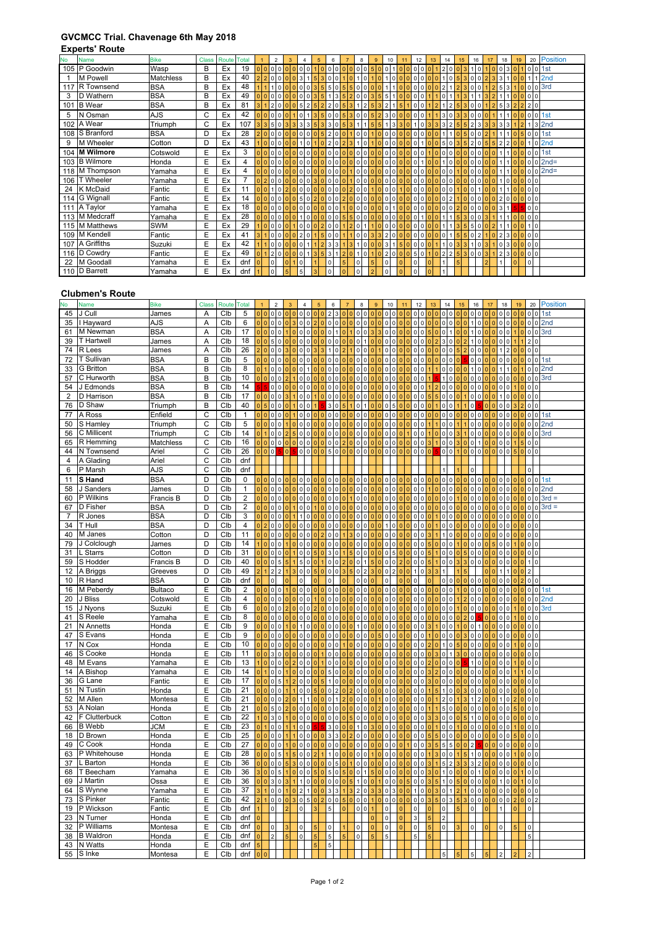## **GVCMCC Trial. Chavenage 6th May 2018**

## **Experts' Route**

| <b>No</b> | <b>Name</b>      | <b>Bike</b> |   | Class Route Total |           |                               | $\overline{2}$           |                 |                          |                | 6                                     |     |                          | 8                                | q              | 10                       |                         |                | 12             | 13                      | 14             |                | 15             | 16             |                |          | 18             |   | 19             | 20             |           | <b>Position</b>   |  |
|-----------|------------------|-------------|---|-------------------|-----------|-------------------------------|--------------------------|-----------------|--------------------------|----------------|---------------------------------------|-----|--------------------------|----------------------------------|----------------|--------------------------|-------------------------|----------------|----------------|-------------------------|----------------|----------------|----------------|----------------|----------------|----------|----------------|---|----------------|----------------|-----------|-------------------|--|
|           | 105 P Goodwin    | Wasp        | B | Ex                | 19        |                               |                          |                 |                          |                |                                       |     | 0                        | 5<br>٥I                          |                | 0                        |                         |                |                |                         |                | 0              | 3              |                |                |          |                |   |                |                | $0$ 0 1st |                   |  |
|           | M Powell         | Matchless   | B | Ex                | 40        |                               |                          |                 | 3                        |                |                                       |     |                          | $\Omega$                         |                | 0                        |                         |                |                |                         |                |                | 3              | $\Omega$       |                |          | 3              |   |                |                |           | 2 <sub>nd</sub>   |  |
| 117       | R Townsend       | <b>BSA</b>  | B | Ex                | 48        |                               |                          |                 |                          |                | 5 5 0                                 |     | 0<br>5                   | $\overline{0}$<br>$\overline{0}$ |                |                          |                         |                |                |                         |                |                |                |                |                |          | 5              | 3 |                |                | 0 0 3rd   |                   |  |
| 3         | D Wathern        | <b>BSA</b>  | B | Ex                | 49        |                               |                          |                 |                          |                | 3                                     |     |                          | $0 \ 0 \ 3$                      | 5 <sub>1</sub> | 5                        |                         |                |                |                         | 0              |                |                |                |                |          |                |   |                | 000            |           |                   |  |
| 101       | <b>B</b> Wear    | <b>BSA</b>  | B | Ex                | 81        |                               |                          |                 |                          | 5/2            | $2\,2\,0$                             |     | 3                        | 2 <br>5                          |                | $\overline{2}$           |                         |                |                |                         |                | $\overline{2}$ | 3              | $\Omega$       | $\Omega$       |          | 5              | 3 |                | 220            |           |                   |  |
| 5         | N Osman          | <b>AJS</b>  | C | Ex                | 42        | $0000$                        |                          |                 |                          |                | 500                                   |     |                          | 53005230                         |                |                          |                         | $\overline{0}$ | $\Omega$       |                         | 300            |                | 3 <sup>1</sup> | 0 <sub>0</sub> |                |          |                |   |                |                | 0 0 1st   |                   |  |
| 102       | A Wear           | Triumph     | C | Ex                | 107       | 335033335                     |                          |                 |                          |                | 330                                   | 5 3 |                          | 1 5                              | 5 <sup>1</sup> | $1\overline{\smash{3}}$  |                         |                |                |                         | 3              |                | 5              | $\overline{2}$ | 3<br>3         | 3        | 3              | 3 |                |                |           | 3 2nd             |  |
|           | 108 S Branford   | <b>BSA</b>  | D | Ex                | 28        | 2000000000005200010010000000  |                          |                 |                          |                |                                       |     |                          |                                  |                |                          |                         | $\overline{0}$ | $\mathbf 0$    |                         |                |                |                | 500            |                |          |                |   |                | 0 0 1st        |           |                   |  |
| 9         | M Wheeler        | Cotton      | D | Ex                | 43        |                               | 00000                    |                 |                          | 1 <sub>0</sub> | 20                                    |     |                          | 1 0                              |                | 10000                    |                         |                |                |                         | 5 <sub>1</sub> | 0              | 5              | $\overline{2}$ | 5              | 5        |                |   |                |                |           | 0 <sup>2nd</sup>  |  |
| 104       | <b>M</b> Wilmore | Cotswold    | E | Ex                | 3         |                               |                          |                 |                          | 0 <sub>0</sub> | 0 <sub>0</sub>                        |     |                          | 00000000                         |                |                          |                         | $\Omega$       |                |                         | $\Omega$       | $\Omega$       |                | $\Omega$       |                |          |                |   |                |                | $0$ 0 1st |                   |  |
|           | 103 B Wilmore    | Honda       | E | Ex                | 4         |                               |                          |                 |                          |                | 0 <sub>0</sub>                        |     |                          | 0 0 0 0 0 0 0                    |                |                          |                         | $\mathbf{0}$   |                |                         |                | $\overline{0}$ |                |                | 0000           | $\Omega$ |                |   |                |                |           | $lo$ $ol$ $2nd$ = |  |
|           | 118 M Thompson   | Yamaha      | E | Ex                | 4         |                               |                          |                 |                          |                | $\Omega$                              |     | $\overline{0}$           |                                  |                | 0 0 0 0 0                |                         | $\Omega$       |                |                         | $\Omega$       | $\Omega$       | $\Omega$       |                | 0.01010        |          |                |   | 100            |                |           | $0$ 0 2nd=        |  |
| 106       | T Wheeler        | Yamaha      | E | Ex                |           |                               |                          |                 |                          |                |                                       |     |                          | 0 0 0 0 0 0 0                    |                |                          |                         | $\overline{0}$ | 0              |                         |                |                |                |                | 00000000000    |          |                |   | 1000000        |                |           |                   |  |
| 24        | K McDaid         | Fantic      | E | Ex                | 11        |                               |                          |                 |                          |                | 0 <sub>0</sub>                        |     |                          | 0 0 1 0 0 0                      |                |                          |                         | $\Omega$       | $\Omega$       |                         | 0 <sub>0</sub> |                | $\Omega$       | $\mathbf{0}$   |                |          |                |   | $00000$        |                |           |                   |  |
|           | 114 G Wignall    | Fantic      | E | Ex                | 14        | 00000000502000200000000000000 |                          |                 |                          |                |                                       |     |                          |                                  |                |                          |                         |                |                |                         | 0 <sub>2</sub> |                |                |                | 0000           |          |                |   | 2000000        |                |           |                   |  |
| 111       | A Taylor         | Yamaha      | E | Ex                | 18        |                               |                          |                 |                          | 0.00           | 0000                                  |     |                          | 00000001                         |                |                          | $\Omega$                | $\Omega$       | $\Omega$       |                         | 0 <sub>0</sub> |                |                | 0 <sub>0</sub> |                |          | 3              |   |                | 0 <sub>0</sub> |           |                   |  |
|           | 113 M Medcraff   | Yamaha      | E | Ex                | 28        | 0000000                       |                          |                 |                          |                | 100 <mark>00</mark> 00550000000000010 |     |                          |                                  |                |                          |                         |                |                |                         |                | 111            | 5 <sup>5</sup> |                | 3003           |          |                |   | $0000$         |                |           |                   |  |
|           | 115 M Matthews   | SWM         | E | Ex                | 29        |                               |                          |                 |                          | 0 <sub>0</sub> | 200                                   |     |                          | 201110000                        |                |                          |                         | $\overline{0}$ | $\Omega$       |                         |                |                | 5              | 5 <sub>1</sub> | $\Omega$       |          |                |   | $\mathbf{0}$   | 110            |           |                   |  |
|           | 109 M Kendell    | Fantic      | E | Ex                | 41        |                               |                          |                 |                          |                | 0 0 0 0 2 0 1 5 0 0                   |     |                          | 100332000000                     |                |                          |                         |                |                |                         |                | 0115           |                | 502            |                |          | $\overline{2}$ |   | 30000          |                |           |                   |  |
|           | 107 A Griffiths  | Suzuki      | E | Ex                | 42        |                               | 0 <sub>0</sub>           |                 |                          | 011            | $2 \mid 3 \mid 3 \mid$                |     |                          | 1 3 1 0 0 0 3 1 5                |                |                          |                         |                | 0 <sub>0</sub> |                         |                | 10             | 3              | 1 <sup>0</sup> | 3              |          |                |   | 0 3 0 0 0 0    |                |           |                   |  |
|           | 116 D Cowdry     | Fantic      | E | Ex                | 49        |                               |                          |                 |                          |                | 200000135312010102000501022253003     |     |                          |                                  |                |                          |                         |                |                |                         |                |                |                |                |                |          |                |   | 2300000        |                |           |                   |  |
| 22        | M Goodall        | Yamaha      | E | Ex                | dnf       |                               | $\overline{10}$          |                 | $\overline{\phantom{0}}$ |                | $\overline{0}$                        | 5   | $\overline{\phantom{a}}$ | 5                                |                | $\overline{10}$          | $\overline{\mathbf{0}}$ | $\circ$        |                | $\overline{0}$          | $\mathbf{1}$   | 5              |                |                | $\overline{2}$ |          |                |   | $\overline{0}$ | $\mathbf 0$    |           |                   |  |
|           | 110 D Barrett    | Yamaha      | E | Ex                | dnf $ 1 $ |                               | $\overline{\phantom{0}}$ | $\vert 5 \vert$ | $\overline{5}$           | 3              | 0                                     | 0   | 0                        | 2                                |                | $\overline{\phantom{a}}$ | $\overline{0}$          | $\circ$        |                | $\overline{\mathbf{0}}$ |                |                |                |                |                |          |                |   |                |                |           |                   |  |

## **Clubmen's Route**

| N٥             | Name               | Bike                  | <b>Class</b>   | Route            | <b>Fotal</b>            |                 | $\overline{2}$      |                                  |                          |                     |                         |                                |                                     |          |                            |                            |                            | 10                                           |                                |                              | 12                                          |            |                            |                 | 16                              |          | 18                   |          | 19             |                         | 20                               | <b>Position</b> |
|----------------|--------------------|-----------------------|----------------|------------------|-------------------------|-----------------|---------------------|----------------------------------|--------------------------|---------------------|-------------------------|--------------------------------|-------------------------------------|----------|----------------------------|----------------------------|----------------------------|----------------------------------------------|--------------------------------|------------------------------|---------------------------------------------|------------|----------------------------|-----------------|---------------------------------|----------|----------------------|----------|----------------|-------------------------|----------------------------------|-----------------|
| 45             | J Cull             | James                 | Α              | Clb              | 5                       |                 | $\mathsf{o}\xspace$ | 0                                |                          | 0                   | $\mathsf 0$             |                                |                                     |          | $\Omega$                   | $\pmb{0}$                  |                            | $\mathsf{O}\xspace$<br>$\pmb{0}$             |                                |                              | $\circ$<br>$\circ$                          |            |                            | 0 <sup>10</sup> | 0 <sup>10</sup>                 |          | 0 <sub>0</sub>       |          |                |                         | 0 <sub>0</sub>                   | 1st             |
| 35             | I Hayward          | AJS                   | Α              | Clb              | 6                       |                 | $\mathsf 0$         | 0                                |                          | $\mathbf 0$         | 0                       | $\Omega$                       | $\Omega$<br>$\Omega$                |          | $\mathbf 0$                | $\mathbf 0$                | $\Omega$<br>$\Omega$       | $\pmb{0}$<br>$\mathbf 0$                     | $\overline{0}$                 | $\overline{0}$               | 0 <sub>0</sub>                              | $\sqrt{2}$ | $\sqrt{2}$                 | 0 <sub>0</sub>  |                                 |          | 0 <sub>0</sub>       |          | olol           |                         |                                  | $0$ 0 2nd       |
| 61             | M Newman           | <b>BSA</b>            | A              | Clb              | 17                      | 0 <sup>10</sup> | $\mathbf 0$         | $\mathbf 0$                      | Ō                        | $\mathbf 0$         | 0                       |                                | $\overline{0}$                      |          | $\mathbf 0$                | $\mathbf 0$                | $\overline{3}$             | $\mathbf 0$<br>$\mathbf 0$                   | $\Omega$                       | $\Omega$                     | $\overline{0}$<br>$\overline{0}$            |            | $\mathbf 0$                |                 |                                 |          | $\Omega$             | $\Omega$ |                |                         |                                  | $0$ 0 3rd       |
| 39             | T Hartwell         | James                 | Α              | Clb              | 18                      |                 | 5                   | 0                                |                          | 0                   | 0                       |                                | $\Omega$<br>0                       |          | $\mathbf 0$                | $\mathbf{1}$               |                            | $\mathbf 0$<br>$\mathbf 0$                   |                                | $\Omega$                     | $\overline{0}$<br>$\overline{0}$            |            | З                          | $\Omega$        |                                 |          | $\mathbf 0$          |          |                |                         |                                  |                 |
| 74             | R Lees             | James                 | A              | Clb              | 26                      |                 | $\mathsf 0$         | 0                                |                          | 0                   |                         |                                |                                     |          | $\Omega$                   |                            |                            | $\overline{0}$<br>$\Omega$                   |                                |                              | 0<br>$\mathsf 0$                            |            |                            |                 |                                 |          |                      |          |                | $\circ$                 |                                  |                 |
| 72             | T Sullivan         | <b>BSA</b>            | B              | Clb              | 5                       |                 | 0                   | 0                                |                          | 0                   | 0                       |                                | O<br>$\Omega$                       |          | $\mathsf 0$                | $\pmb{0}$                  |                            | $\mathbf 0$<br>0                             |                                | $\overline{0}$               | $\mathbf 0$<br>$\mathbf 0$                  |            |                            |                 | 0 <sup>0</sup>                  |          | $\mathsf{O}\xspace$  |          |                | $\circ$                 | $\circ$                          | 1st             |
| 33             | G Britton          | <b>BSA</b>            | B              | C <sub>1b</sub>  | 8                       |                 | $\mathsf 0$         | 0                                |                          | 0                   |                         |                                |                                     |          | $\mathsf 0$                | $\pmb{0}$                  |                            | $\mathbf 0$<br>0                             |                                | $\overline{0}$               | $\mathbf{0}$<br>$\mathbf 0$                 |            |                            |                 |                                 |          |                      |          |                | $\mathbf 0$             |                                  | $0$ 2nd         |
| 57             | C Hurworth         | <b>BSA</b>            | B              | Clb              | 10                      | $\overline{0}$  | $\mathsf{O}\xspace$ | $\mathsf 0$                      |                          | 0                   | 0                       |                                | O<br>O                              |          | $\mathbf 0$                | $\mathbf 0$                |                            | $\mathbf 0$<br>$\mathbf 0$                   |                                | $\Omega$                     | $\mathbf{0}$<br>$\mathbf 0$                 |            |                            |                 | $\mathbf 0$                     | $\Omega$ | $\Omega$             |          |                |                         |                                  | $0$ 0 3rd       |
| 54             | J Edmonds          | <b>BSA</b>            | B              | Clb              | 14                      |                 | $\mathsf{o}\xspace$ | $\mathsf{O}\xspace$              |                          | $\mathsf 0$         | 0                       |                                | $\Omega$<br>$\Omega$                |          | $\mathbf 0$                | $\mathbf 0$                | $\Omega$                   | $\mathbf 0$<br>$\mathbf 0$                   | $\Omega$                       | $\Omega$                     | $\overline{0}$<br>$\mathbf 0$               |            | $\mathsf 0$                | $\Omega$        | 0 <sup>10</sup>                 |          | $\Omega$             | $\Omega$ |                |                         | 0 <sub>0</sub>                   |                 |
| 2              | D Harrison         | <b>BSA</b>            | B              | Clb              | 17                      | $\Omega$        | $\pmb{0}$           | $\mathsf{O}\xspace$              |                          | $\mathsf 0$         | $\mathsf{O}$            |                                | $\Omega$<br>$\Omega$                |          | $\mathsf 0$                | $\pmb{0}$                  | $\Omega$                   | $\mathbf 0$<br>$\pmb{0}$                     | $\Omega$                       | $\Omega$                     | $\mathbf 0$<br>$\circ$                      |            | $\mathsf{o}$               | $\Omega$        | 0 <sub>0</sub>                  |          |                      | $\Omega$ | $\Omega$       |                         | 0 <sub>0</sub>                   |                 |
| 76             | D Shaw             | Triumph               | B              | Clb              | 40                      |                 | $\mathbf 0$         | 0                                |                          | $\mathbf 0$         | $\Omega$                |                                | 3<br>$\Omega$                       |          | $\mathbf 0$                | $\mathbf{1}$               |                            | $\mathbf 0$<br>5                             | $\Omega$                       | $\Omega$                     | $\mathsf{O}$<br>$\overline{0}$              |            | $\mathbf 0$                | $\Omega$        | $\Omega$                        |          | $\circ$              |          |                |                         | 0 <sub>0</sub>                   |                 |
| 77             | A Ross             | Enfield               | C              | C <sub>1</sub> b | $\mathbf{1}$            |                 | $\mathbf 0$         | $\mathbf 0$                      | Ō                        | $\mathbf 0$         | $\mathbf 0$             | $\Omega$                       | $\mathbf 0$<br>$\Omega$             |          | $\mathbf 0$                | $\mathbf 0$                |                            | $\mathbf 0$<br>$\mathbf 0$                   |                                |                              | $\overline{0}$<br>$\mathbf{0}$              |            | $\mathbf 0$                | $\Omega$        | $\mathbf{0}$                    |          | $\Omega$             |          |                |                         |                                  | $0$ 0 1st       |
| 50             | S Hamley           | Triumph               | C              | Clb              | 5                       |                 | 0                   | 0                                |                          | $\mathsf 0$         | 0                       |                                | $\mathbf 0$<br>$\mathbf 0$          |          | $\mathsf 0$<br>$\Omega$    | $\mathsf 0$                | $\Omega$                   | $\mathbf 0$<br>$\mathbf 0$                   |                                | $\mathbf{0}$                 | $\mathbf{0}$<br>$\mathbf 0$                 |            | $\Omega$                   | $\Omega$        | $\Omega$                        |          | $\Omega$             |          |                | $\Omega$                | $\Omega$                         | 2nd             |
| 56             | C Millicent        | Triumph               | С              | Clb              | 14                      |                 | $\pmb{0}$           | 0                                |                          | $\mathsf 0$         | 0                       |                                | $\Omega$<br>$\Omega$                |          | $\mathsf 0$                | $\pmb{0}$                  |                            | $\pmb{0}$<br>0                               |                                |                              | 0<br>$\mathbf 0$                            |            |                            |                 |                                 |          |                      |          |                | $\circ$                 |                                  | 3rd             |
| 65             | R Hemming          | Matchless             | С              | Clb              | 16                      |                 | $\mathsf{o}\xspace$ | $\mathsf{O}\xspace$              |                          | $\mathsf 0$         | 0                       | $\Omega$                       | $\mathbf 0$<br>$\mathbf 0$          |          | $\mathsf 0$<br>$\Omega$    | $\mathsf 0$                | $\Omega$                   | $\mathbf 0$<br>$\mathbf 0$                   | $\Omega$                       | $\mathbf{0}$                 | $\mathbf{0}$<br>$\mathbf 0$                 |            | $\pmb{0}$                  | $\mathbf 0$     | 0 <sub>1</sub>                  |          | $\overline{0}$       |          |                |                         | 0 <sub>0</sub>                   |                 |
| 44             | N Townsend         | Ariel                 | $\overline{c}$ | Clb              | 26                      |                 | $\mathbf 0$         |                                  |                          | $\mathsf 0$         | 0                       |                                | $\Omega$                            |          | $\mathbf 0$<br>$\Omega$    | $\mathbf 0$                | $\Omega$<br>$\Omega$       | $\mathbf 0$<br>$\mathbf 0$                   | $\Omega$                       | $\overline{0}$               | $\circ$<br>$\mathsf{O}$                     |            | $\mathbf 0$                | $\Omega$        | 0 <sup>10</sup>                 |          | $\circ$              |          |                |                         | 0 <sup>0</sup>                   |                 |
| 4              | A Glading          | Ariel                 | C              | Clb              | dnf                     |                 |                     |                                  |                          |                     |                         |                                |                                     |          |                            |                            |                            |                                              |                                |                              |                                             |            |                            |                 |                                 |          |                      |          |                |                         |                                  |                 |
| 6              | P Marsh            | AJS                   | $\mathsf{C}$   | Clb              | dnf                     |                 |                     |                                  |                          |                     |                         |                                |                                     |          |                            |                            |                            |                                              |                                |                              |                                             |            |                            |                 | $\Omega$                        |          |                      |          |                | $\Omega$                |                                  |                 |
| 11             | S Hand             | <b>BSA</b>            | $\overline{D}$ | Clb              | 0                       |                 | $\mathsf{o}\xspace$ | $\mathsf{O}\xspace$              | $\mathbf{0}$<br>$\Omega$ | $\mathsf{O}\xspace$ | $\mathsf{O}$            | $\mathbf{0}$<br>$\overline{0}$ | $\mathbf 0$<br>$\mathbf 0$          | $\Omega$ | 0<br>$\overline{0}$        | $\mathsf{O}$               | $\overline{0}$<br>$\Omega$ | $\pmb{0}$                                    | $\mathsf{O}$<br>$\overline{0}$ | $\overline{0}$               | $\mathsf{o}$<br>0 <sub>0</sub>              |            | $\circ$                    | $\mathbf{0}$    | 0 <sub>0</sub>                  |          | $\overline{0}$       | $\Omega$ | $\Omega$       |                         |                                  | $0$ 0 1st       |
| 58             | J Sanders          |                       | D              | Clb              | $\mathbf{1}$            |                 | $\pmb{0}$           | 0                                |                          | 0                   | $\mathbf 0$             | $\Omega$                       | $\mathbf 0$<br>$\Omega$             |          | $\mathbf 0$                | $\mathbf 0$                | $\Omega$<br>$\sqrt{2}$     | $\mathbf 0$<br>$\mathbf 0$                   | $\Omega$                       | $\Omega$                     | $\overline{0}$<br>$\mathbf 0$               |            | $\mathbf 0$                | $\Omega$        | $\Omega$                        |          | $\mathbf 0$          | $\Omega$ | o.<br>$\Omega$ | $\circ$                 |                                  | 2nd             |
| 60             | P Wilkins          | James<br>Francis B    | $\overline{D}$ | Clb              | $\overline{2}$          |                 | $\pmb{0}$           | 0                                | $\overline{0}$           | $\mathsf 0$         | 0                       | $\overline{0}$                 | $\mathbf 0$<br>$\mathbf 0$          |          | $\mathbf 0$                | $\pmb{0}$                  |                            | $\pmb{0}$<br>$\mathbf 0$                     |                                | $\overline{0}$               | $\mathbf{0}$<br>$\mathbf 0$                 |            | $\mathbf 0$                | $\Omega$        | $\Omega$                        |          | $\Omega$             |          |                |                         | $\circ$<br>$\mathsf{O}\xspace$   | $3rd =$         |
| 67             | D Fisher           | <b>BSA</b>            | D              | Clb              | $\overline{c}$          | $\overline{0}$  | $\pmb{0}$           | 0                                | n                        | $\mathsf 0$         | 0                       |                                | $\Omega$<br>$\mathbf 0$             |          | $\mathbf 0$                | $\pmb{0}$                  |                            | $\mathbf 0$<br>$\mathbf 0$                   | $\Omega$                       | $\Omega$                     | $\mathbf{0}$<br>$\mathbf 0$                 |            | $\Omega$                   | $\Omega$        |                                 |          |                      |          |                | $\mathbf 0$<br>$\Omega$ | $\Omega$                         | $3rd =$         |
| $\overline{7}$ | R Jones            | <b>BSA</b>            | D              | Clb              | 3                       | $\overline{0}$  | $\mathbf 0$         | $\mathbf 0$                      | $\Omega$                 | $\mathbf{1}$        | $\mathbf 0$             |                                | $\Omega$<br>$\Omega$                |          | $\Omega$                   | $\mathbf 0$                |                            | $\mathbf 0$<br>$\mathbf 0$                   | $\Omega$                       |                              | $\mathbf 0$<br>$\overline{0}$               |            | $\Omega$                   |                 |                                 |          |                      |          |                |                         | $\Omega$                         |                 |
|                | T Hull             | <b>BSA</b>            | D              | Clb              | $\overline{\mathbf{4}}$ |                 |                     |                                  |                          |                     |                         |                                | $\overline{0}$                      |          | $\mathbf 0$                | $\mathbf 0$                |                            | $\overline{1}$<br>$\Omega$                   |                                |                              |                                             |            |                            |                 |                                 |          |                      |          |                | $\mathbf{0}$            |                                  |                 |
| 34             | M Janes            |                       | D              |                  | 11                      |                 | $\mathbf 0$         | 0                                |                          | 0                   | 0                       |                                |                                     |          |                            |                            |                            |                                              |                                | $\mathbf{0}$<br>$\sqrt{ }$   | $\overline{0}$<br>$\mathbf{0}$              |            | $\mathbf 0$                |                 |                                 |          |                      |          |                |                         | 0 <sup>10</sup>                  |                 |
| 40             | J Colclough        | Cotton                | D              | Clb<br>Clb       | 14                      |                 | 0                   | 0                                |                          | 0                   |                         |                                | $\Omega$<br>$\Omega$                |          | 0                          | 0                          |                            | $\mathbf 0$<br>0                             |                                |                              | $\mathbf{0}$<br>$\mathbf 0$                 |            |                            |                 | $\Omega$                        | $\Omega$ |                      |          |                |                         | 0 <sup>0</sup>                   |                 |
| 79<br>31       | Starrs             | James                 | D              | Clb              | 31                      | $\Omega$        | $\pmb{0}$           | 0                                |                          | 0                   | 0<br>$\mathbf 0$        |                                | $\overline{\mathbf{3}}$<br>$\Omega$ |          | $\mathbf 0$<br>$\mathbf 0$ | $\mathbf 0$<br>$\mathbf 0$ | $\Omega$                   | $\pmb{0}$<br>$\mathbf 0$<br>5                | $\Omega$                       | $\overline{0}$<br>$\sqrt{ }$ | $\mathbf 0$<br>$\mathbf{0}$<br>$\mathbf{0}$ |            | $\mathbf 0$<br>$\mathbf 0$ | $\Omega$        | $\Omega$                        |          |                      |          |                |                         | 0 <sub>0</sub>                   |                 |
|                | S Hodder           | Cotton                |                |                  | 40                      | $\overline{0}$  | $\pmb{0}$           | 0                                |                          | $\mathsf 0$         | $\Omega$                |                                | $\mathbf 0$<br>$\Omega$             |          |                            |                            |                            | $\mathbf 0$                                  | $\Omega$                       | $\Omega$                     | $\overline{0}$                              |            |                            |                 | n In                            | $\Omega$ | $\Omega$<br>$\Omega$ |          |                |                         | 0 <sub>0</sub>                   |                 |
| 59             |                    | Francis B             | D<br>D         | Clb<br>Clb       | 49                      |                 | $\mathsf{o}\xspace$ | $\overline{5}$<br>$\overline{2}$ |                          | 5                   | $\mathbf 0$<br>$\Omega$ |                                | $\Omega$                            |          | $\mathbf 0$                | $\mathbf{1}$               |                            | $\mathbf 0$<br>$\mathbf 0$<br>$\overline{2}$ | $\Omega$                       | $\Omega$                     | $\circ$<br>$\circ$                          |            |                            | 0 <sub>0</sub>  |                                 |          |                      |          |                | $\overline{2}$          | 10                               |                 |
| 12<br>10       | A Briggs<br>R Hand | Greeves<br><b>BSA</b> | D              | Clb              |                         |                 | $\overline{2}$      |                                  |                          | 0                   |                         |                                | $\mathsf 0$<br>$\overline{0}$       |          | $\mathsf 0$                | $\overline{2}$             |                            | $\mathbf 0$                                  |                                |                              | $\overline{1}$<br>$\mathbf 0$               |            | $\mathbf 0$                |                 |                                 |          |                      |          |                |                         |                                  |                 |
|                |                    |                       | $\overline{E}$ | Clb              | dnf<br>$\overline{2}$   |                 | 0<br>$\mathbf 0$    |                                  |                          | 0                   |                         |                                | O                                   |          | 0<br>$\Omega$              | $\pmb{0}$                  |                            | $\mathbf 0$                                  |                                |                              | $\mathbf 0$                                 |            |                            |                 |                                 |          | $\Omega$             |          |                |                         | 0 <sup>10</sup>                  |                 |
| 16             | M Peberdy          | <b>Bultaco</b>        | E              | Clb              | $\overline{\mathbf{4}}$ |                 |                     | 0                                |                          | $\mathbf 0$         | $\Omega$                |                                |                                     |          |                            | $\mathbf 0$                |                            | $\mathbf 0$<br>$\Omega$                      | $\Omega$                       |                              | $\mathbf 0$<br>$\mathbf 0$                  |            | C                          |                 |                                 |          |                      |          |                | $\Omega$                | $\mathbf{0}$                     | 1st             |
| 20             | <b>Bliss</b>       | Cotswold              |                |                  | $6\overline{6}$         |                 | $\mathsf 0$         | 0                                |                          | 0                   | 0                       |                                | $\Omega$                            |          | 0                          | $\mathbf 0$                |                            | $\mathbf 0$<br>$\mathbf 0$                   |                                |                              | $\Omega$<br>$\Omega$                        |            | 0                          |                 |                                 |          |                      |          |                | $\Omega$                | $\Omega$                         | 2nd             |
| 15<br>41       | J Nyons            | Suzuki                | E<br>E         | Clb<br>Clb       | 8                       |                 | 0                   | 0                                |                          | 0                   | 0                       |                                | $\Omega$                            |          | $\mathsf 0$                | $\pmb{0}$                  |                            | $\pmb{0}$<br>$\mathbf 0$                     |                                | $\mathbf{0}$                 | $\mathbf{0}$<br>$\mathbf 0$                 |            | $\mathsf 0$                | $\Omega$        | 0 <sub>0</sub>                  |          | $\Omega$             |          |                |                         | 0 <sub>0</sub>                   | 3rd             |
|                | S Reele            | Yamaha                |                |                  | 9                       |                 | $\mathsf 0$         | 0                                |                          | 0                   |                         | $\Omega$                       | $\Omega$<br>$\Omega$                |          | $\mathbf 0$<br>$\Omega$    | $\mathbf 0$                | $\Omega$<br>$\Omega$       | $\mathbf 0$<br>0                             | $\Omega$                       | $\overline{0}$               | $\mathbf{0}$<br>$\mathbf 0$                 |            | $\Omega$                   | $\Omega$        | $\mathbf 0$<br>0 <sup>1</sup>   |          | $\Omega$             |          |                |                         | 0 <sub>0</sub>                   |                 |
| 21             | N Annetts          | Honda                 | E              | Clb              |                         | $\overline{0}$  | $\mathsf 0$         | 0                                |                          | $\mathbf{1}$        | $\mathsf 0$             |                                |                                     |          | $\mathbf{1}$               | $\mathsf 0$                |                            | $\mathbf 0$<br>$\mathbf 0$                   |                                | $\overline{0}$               | $\mathsf{0}$<br>$\overline{0}$              |            | $\mathbf 0$                |                 |                                 |          | $\circ$              | $\Omega$ |                |                         | 0 <sub>0</sub>                   |                 |
| 47             | S Evans            | Honda                 | E<br>Ε         | Clb<br>Clb       | 9<br>10                 | $\overline{0}$  | $\pmb{0}$           | 0                                |                          | $\mathsf 0$         | $\mathbf 0$             |                                | $\mathbf 0$<br>$\mathbf 0$          |          | $\mathbf 0$<br>$\Omega$    | $\mathbf 0$                |                            | $\pmb{0}$<br>$\pmb{0}$                       | $\Omega$                       | $\Omega$                     | $\overline{0}$<br>$\mathbf 0$               |            | $\Omega$                   | $\Omega$        |                                 |          |                      |          |                |                         | 0 <sub>0</sub>                   |                 |
| 17<br>46       | N Cox              | Honda                 | E              |                  |                         | $\Omega$        | $\mathbf 0$         | $\mathbf 0$                      | $\Omega$                 | $\mathbf 0$         | $\mathbf 0$             |                                | $\Omega$                            |          |                            | $\Omega$                   |                            | $\mathbf 0$<br>$\Omega$                      | $\Omega$                       |                              | $\mathbf 0$<br>$\overline{0}$               |            |                            |                 |                                 |          |                      |          |                |                         | 0 <sup>10</sup>                  |                 |
|                | S Cooke            | Honda                 | E              | Clb              | 11                      |                 | 3                   | 0                                |                          | 0                   |                         |                                |                                     |          | $\mathbf 0$                | $\mathbf 0$                |                            | $\mathbf 0$<br>$\Omega$                      |                                |                              | $\overline{0}$<br>$\mathbf 0$               |            |                            |                 |                                 |          |                      |          |                |                         | 0 <sup>10</sup>                  |                 |
| 48             | M Evans            | Yamaha                |                | Clb              | 13<br>14                |                 | $\pmb{0}$           | 0                                |                          | 0                   |                         |                                |                                     |          | 0                          |                            |                            | $\mathbf 0$<br>$\circ$                       |                                | $\Omega$                     | $\mathbf 0$<br>$\mathbf 0$                  |            |                            | $\Omega$        |                                 |          |                      |          |                |                         | 0 <sub>0</sub>                   |                 |
| 14             | A Bishop           | Yamaha                | E              | Clb              |                         | $\overline{0}$  | $\pmb{0}$           | $\mathsf{O}\xspace$              |                          | $\pmb{0}$           | 0                       |                                | 5<br>$\Omega$                       |          | $\mathbf 0$                | $\pmb{0}$                  |                            | $\pmb{0}$<br>$\pmb{0}$                       | $\Omega$                       | $\overline{0}$               | $\mathbf 0$<br>$\mathbf 0$                  |            | $\mathbf 0$                |                 | $\Omega$                        | $\Omega$ | $\Omega$             |          |                |                         | 0 <sub>0</sub>                   |                 |
| 36             | G Lane             | Fantic                | E              | Clb              | 17                      | $\Omega$        | $\mathsf{O}\xspace$ | 5                                |                          | $\mathsf 0$         | $\mathbf 0$             |                                | 1<br>$\Omega$                       |          | $\mathbf 0$                | $\pmb{0}$                  | $\Omega$                   | $\mathbf 0$<br>$\mathbf 0$                   | $\Omega$                       | $\Omega$                     | $\mathbf{0}$<br>$\overline{0}$              |            | $\mathbf 0$                | $\Omega$        | $\mathbf 0$                     | $\Omega$ |                      |          |                |                         | 0 <sup>10</sup>                  |                 |
| 51             | N Tustin           | Honda                 | E              | Clb              | 21                      | $\overline{0}$  | $\mathsf 0$         | 0                                |                          | $\mathbf 0$         | $\pmb{0}$               | $\Omega$                       | $\mathbf 0$<br>$\mathfrak{p}$<br>O  |          | $\mathbf 0$                | $\pmb{0}$                  | $\Omega$                   | $\pmb{0}$<br>$\mathbf 0$                     | $\Omega$                       | $\overline{0}$               | 0 <sub>0</sub>                              |            | $\mathbf{1}$               | $\Omega$        | $\mathbf{0}$                    | I٥       | $\mathbf 0$          |          |                |                         | 0 <sub>0</sub>                   |                 |
| 52             | M Allen<br>A Nolan | Montesa               | E              | Clb<br>Clb       | 21<br>21                |                 | 0                   | 0                                |                          | $\mathbf{1}$        |                         |                                |                                     |          | $\mathbf 0$                | $\mathbf 0$                |                            | $\mathbf 0$<br>$\mathbf 0$                   |                                | $\Omega$                     | $\mathsf{O}$<br>$\mathbf{0}$                |            | $\overline{2}$             |                 |                                 |          |                      |          |                |                         | 0 <sub>0</sub>                   |                 |
| 53             | F Clutterbuck      | Honda                 | E<br>E         |                  | 22                      | $\overline{0}$  | 5                   | $\mathbf 0$                      |                          | $\overline{0}$      | 0                       |                                | $\Omega$<br>$\Omega$                |          | 0                          | $\mathbf 0$                |                            | $\mathbf 0$<br>$\Omega$                      |                                |                              | $\mathbf 0$<br>$\mathbf 0$                  |            |                            |                 | $\Omega$                        |          |                      |          |                |                         | 0 <sup>10</sup>                  |                 |
| 42             | <b>B</b> Webb      | Cotton<br><b>JCM</b>  | E              | Clb<br>Clb       | 23                      |                 | $\mathsf 3$         | 0                                |                          | $\mathsf 0$<br>0    | 0                       |                                | $\Omega$<br>0                       |          | $\mathbf 0$                | $\mathbf 0$                |                            | $\mathbf 0$<br>$\mathbf 0$                   |                                | $\mathbf{0}$                 | $\overline{0}$<br>$\overline{0}$            |            | $\mathbf 0$                |                 |                                 |          |                      |          |                |                         | 0 <sub>0</sub><br>0 <sub>0</sub> |                 |
| 66             |                    |                       |                |                  |                         |                 | $\mathsf 0$         | 0                                |                          |                     | $\mathsf 0$             |                                |                                     |          |                            |                            |                            | $\mathbf 0$<br>0                             |                                |                              | $\mathbf 0$<br>$\mathsf 0$                  |            |                            |                 |                                 |          |                      |          |                |                         |                                  |                 |
| 18<br>49       | D Brown<br>C Cook  | Honda                 | E<br>E         | Clb<br>Clb       | 25<br>27                |                 | $\pmb{0}$           | $\pmb{0}$                        |                          | 0                   | 0<br>$\Omega$           |                                | $\Omega$<br>$\Omega$                |          | 0                          | $\pmb{0}$                  |                            | $\pmb{0}$<br>$\mathbf 0$                     | $\Omega$                       | $\mathbf{0}$                 | $\mathsf{o}$<br>$\mathbf 0$                 |            | $\mathbf 0$                | $\Omega$        | 0 <sub>0</sub><br>$\mathcal{D}$ |          | $\Omega$             |          |                |                         | 0 <sub>0</sub>                   |                 |
|                |                    | Honda                 |                |                  |                         |                 | 0                   | 0                                |                          | 0                   |                         |                                |                                     |          | $\mathbf 0$                | $\mathbf 0$                |                            | $\mathbf 0$<br>$\mathbf 0$                   |                                |                              | $\mathbf{0}$<br>$\mathbf 0$                 |            | 5                          |                 |                                 |          |                      |          |                |                         | 0 <sup>10</sup>                  |                 |
| 63             | P Whitehouse       | Honda                 | E              | Clb              | 28                      |                 | $\mathsf 0$         | 5                                |                          | $\mathbf 0$         | 0                       |                                |                                     |          | $\Omega$                   | $\mathbf 0$                |                            | $\mathbf 0$<br>$\mathbf 0$                   |                                |                              | $\mathbf 0$<br>$\overline{0}$               |            | $\mathbf 0$                |                 |                                 |          |                      |          |                |                         | 0 <sup>10</sup>                  |                 |
| 37             | Barton             | Honda                 | E              | Clb              | 36                      |                 | $\mathsf{O}\xspace$ | 0                                |                          | 0                   | 0                       |                                | $\Omega$                            |          | 0                          | $\mathbf 0$                |                            | $\mathbf 0$<br>$\Omega$                      |                                |                              | $\mathbf 0$<br>$\mathbf 0$                  |            |                            |                 |                                 |          |                      |          |                |                         | 0 <sup>10</sup>                  |                 |
| 68             | T Beecham          | Yamaha                | E              | Clb              | 36                      |                 | $\mathsf 0$         | 5                                |                          | 0                   | 0                       |                                |                                     |          | 0                          |                            |                            | $\mathbf 0$<br>$\Omega$                      |                                |                              | $\mathbf 0$<br>$\mathbf 0$                  |            |                            |                 |                                 |          |                      |          |                |                         | $\mathbf 0$                      |                 |
| 69             | J Martin           | Ossa                  | E              | Clb              | 36                      |                 | $\mathsf 3$         | 0                                |                          | $\mathbf{1}$        | 0                       |                                | $\overline{0}$<br>$\mathbf 0$       |          |                            | $\pmb{0}$                  |                            | $\mathbf 0$<br>$\mathbf 0$                   |                                | 5                            | $\overline{0}$<br>$\mathbf 0$               |            |                            |                 | $\Omega$                        |          |                      |          |                |                         | 0 <sub>0</sub>                   |                 |
| 64             | S Wynne            | Y <u>amaha</u>        | E              | Clb              | 37                      |                 | $\mathsf 0$         | 0                                |                          |                     |                         |                                |                                     |          |                            | $\Omega$                   |                            | $\overline{0}$                               |                                |                              | $\Omega$                                    |            |                            |                 |                                 |          |                      |          |                |                         | 0 <sup>0</sup>                   |                 |
| 73             | S Pinker           | Fantic                | E              | Clb              | 42                      |                 | $\pmb{0}$           | $\mathsf{O}\xspace$              | $\overline{0}$           | $\pmb{0}$           | 5                       |                                | $\mathbf 0$<br>$\Omega$             |          | $\mathsf 0$<br>$\Omega$    | $\pmb{0}$                  |                            | $\pmb{0}$<br>$\mathbf 0$                     | $\overline{0}$                 | $\mathbf{0}$                 | $\mathbf 0$<br>$\mathbf 0$                  |            | $\mathbf 0$                |                 | $\Omega$                        |          | $\Omega$             |          |                |                         | 0 <sub>2</sub>                   |                 |
| 19             | P Wickson          | Fantic                | E              | Clb              | dnf                     |                 | $\mathsf 0$         |                                  |                          | 0                   | 3                       |                                | 5                                   |          | $\mathbf 0$                | $\mathbf 0$                |                            | $\mathsf 0$                                  | $\overline{0}$                 |                              | $\mathbf 0$                                 | $\sqrt{ }$ | $\pmb{0}$                  |                 | $\mathbf 0$                     |          | 1                    |          |                | $\mathbf 0$             |                                  |                 |
| 23             | N Turner           | Honda                 | E              | Clb              | dnf                     |                 |                     |                                  |                          |                     |                         |                                |                                     |          |                            |                            |                            | $\mathbf 0$                                  | $\Omega$                       |                              | 3                                           |            | $\overline{2}$             |                 |                                 |          |                      |          |                |                         |                                  |                 |
| 32             | P Williams         | Montesa               | E              | Clb              | dnf                     |                 | $\pmb{0}$           |                                  |                          | 0                   |                         |                                | $\overline{0}$                      |          | 0                          |                            | $\Omega$                   | $\mathbf 0$                                  | $\Omega$                       |                              | $\mathbf 0$<br>$\overline{5}$               |            | $\Omega$                   |                 | $\mathbf 0$                     |          | 0                    |          |                | $\mathbf 0$             |                                  |                 |
| 38             | <b>B</b> Waldron   | Honda                 | E              | Clb              | dnf                     |                 | $\overline{2}$      |                                  |                          | 0                   |                         |                                | 5                                   |          | 0                          |                            |                            | 5                                            |                                |                              |                                             |            |                            |                 |                                 |          |                      |          |                | 5                       |                                  |                 |
| 43             | N Watts            | Honda                 | E              | Clb              | dnf                     |                 |                     |                                  |                          |                     |                         |                                | 5                                   |          |                            |                            |                            |                                              |                                |                              |                                             |            |                            |                 |                                 |          |                      |          |                |                         |                                  |                 |
| 55             | S Inke             | Montesa               | E              | Clb              | dnf                     |                 |                     |                                  |                          |                     |                         |                                |                                     |          |                            |                            |                            |                                              |                                |                              |                                             |            |                            |                 |                                 |          |                      |          |                |                         |                                  |                 |